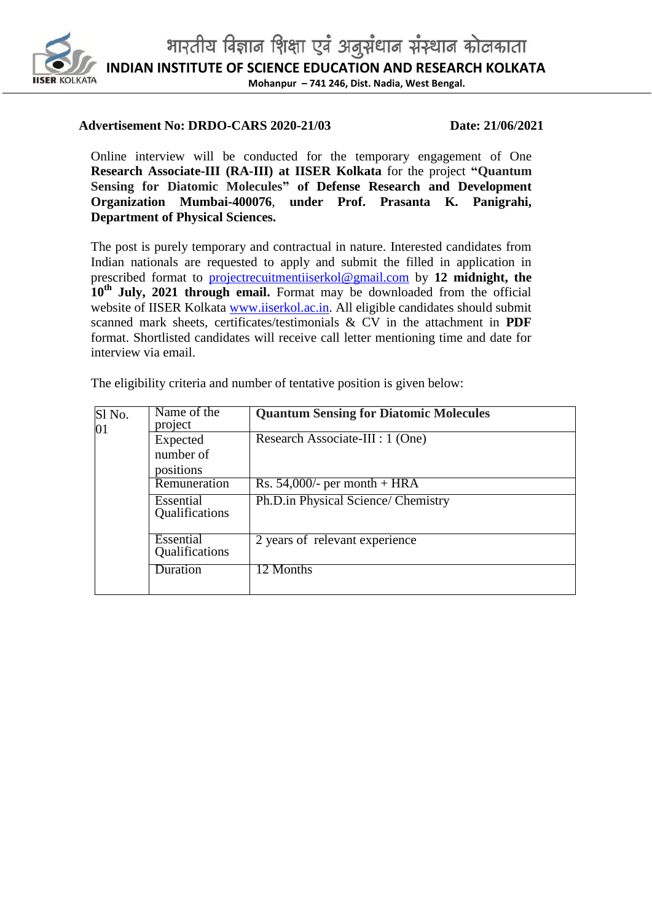

### **Advertisement No: DRDO-CARS 2020-21/03 Date: 21/06/2021**

Online interview will be conducted for the temporary engagement of One **Research Associate-III (RA-III) at IISER Kolkata** for the project **"Quantum Sensing for Diatomic Molecules" of Defense Research and Development Organization Mumbai-400076**, **under Prof. Prasanta K. Panigrahi, Department of Physical Sciences.**

The post is purely temporary and contractual in nature. Interested candidates from Indian nationals are requested to apply and submit the filled in application in prescribed format to [projectrecuitmentiiserkol@gmail.com](mailto:projectrecuitmentiiserkol@gmail.com) by **12 midnight, the 10th July, 2021 through email.** Format may be downloaded from the official website of IISER Kolkata [www.iiserkol.ac.in.](http://www.iiserkol.ac.in/) All eligible candidates should submit scanned mark sheets, certificates/testimonials & CV in the attachment in **PDF** format. Shortlisted candidates will receive call letter mentioning time and date for interview via email.

| Sl <sub>No.</sub><br>01 | Name of the<br>project      | <b>Quantum Sensing for Diatomic Molecules</b> |  |  |  |
|-------------------------|-----------------------------|-----------------------------------------------|--|--|--|
|                         | Expected                    | Research Associate-III : 1 (One)              |  |  |  |
|                         | number of                   |                                               |  |  |  |
|                         | positions                   |                                               |  |  |  |
|                         | Remuneration                | Rs. $54,000/$ - per month + HRA               |  |  |  |
|                         | Essential<br>Qualifications | Ph.D.in Physical Science/ Chemistry           |  |  |  |
|                         | Essential<br>Qualifications | 2 years of relevant experience                |  |  |  |
|                         | Duration                    | 12 Months                                     |  |  |  |

The eligibility criteria and number of tentative position is given below: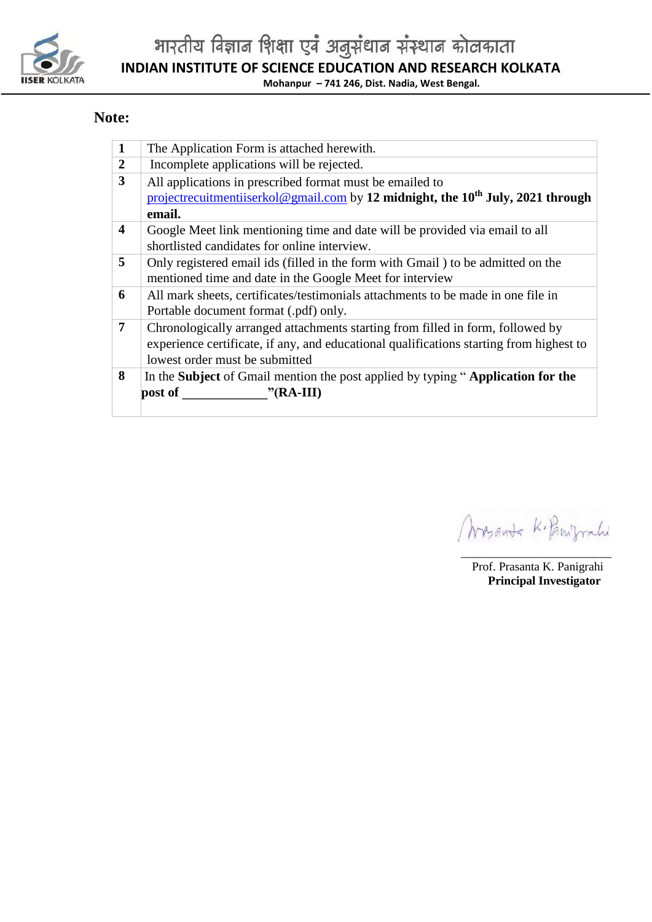

भारतीय विज्ञान शिक्षा एवं अनुसंधान संस्थान कोलकाता **INDIAN INSTITUTE OF SCIENCE EDUCATION AND RESEARCH KOLKATA Mohanpur – 741 246, Dist. Nadia, West Bengal.**

### **Note:**

| $\mathbf{1}$            | The Application Form is attached herewith.                                                  |  |  |  |  |  |  |  |
|-------------------------|---------------------------------------------------------------------------------------------|--|--|--|--|--|--|--|
| $\overline{2}$          | Incomplete applications will be rejected.                                                   |  |  |  |  |  |  |  |
| 3                       | All applications in prescribed format must be emailed to                                    |  |  |  |  |  |  |  |
|                         | projectrecuitmentiiserkol@gmail.com by 12 midnight, the 10 <sup>th</sup> July, 2021 through |  |  |  |  |  |  |  |
|                         | email.                                                                                      |  |  |  |  |  |  |  |
| $\overline{\mathbf{4}}$ | Google Meet link mentioning time and date will be provided via email to all                 |  |  |  |  |  |  |  |
|                         | shortlisted candidates for online interview.                                                |  |  |  |  |  |  |  |
| 5                       | Only registered email ids (filled in the form with Gmail) to be admitted on the             |  |  |  |  |  |  |  |
|                         | mentioned time and date in the Google Meet for interview                                    |  |  |  |  |  |  |  |
| 6                       | All mark sheets, certificates/testimonials attachments to be made in one file in            |  |  |  |  |  |  |  |
|                         | Portable document format (.pdf) only.                                                       |  |  |  |  |  |  |  |
| $\overline{7}$          | Chronologically arranged attachments starting from filled in form, followed by              |  |  |  |  |  |  |  |
|                         | experience certificate, if any, and educational qualifications starting from highest to     |  |  |  |  |  |  |  |
|                         | lowest order must be submitted                                                              |  |  |  |  |  |  |  |
| 8                       | In the <b>Subject</b> of Gmail mention the post applied by typing "Application for the      |  |  |  |  |  |  |  |
|                         | "(RA-III)<br>post of                                                                        |  |  |  |  |  |  |  |
|                         |                                                                                             |  |  |  |  |  |  |  |

Mayonta Kilonyrahi

\_\_\_\_\_\_\_\_\_\_\_\_\_\_\_\_\_\_\_\_\_\_\_\_\_ Prof. Prasanta K. Panigrahi **Principal Investigator**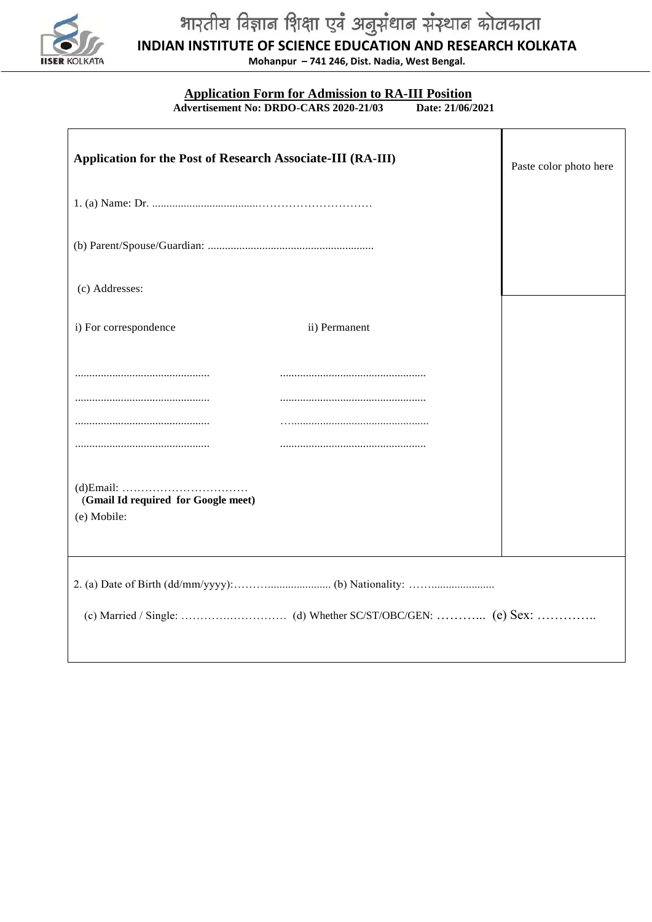

# भारतीय विज्ञान शिक्षा एवं अनुसंधान संस्थान कोलकाता

**INDIAN INSTITUTE OF SCIENCE EDUCATION AND RESEARCH KOLKATA**

**Mohanpur – 741 246, Dist. Nadia, West Bengal.**

## **Application Form for Admission to RA-III Position**

 **Advertisement No: DRDO-CARS 2020-21/03** 

| Application for the Post of Research Associate-III (RA-III) | Paste color photo here |
|-------------------------------------------------------------|------------------------|
|                                                             |                        |
|                                                             |                        |
| (c) Addresses:                                              |                        |
| i) For correspondence<br>ii) Permanent                      |                        |
|                                                             |                        |
|                                                             |                        |
|                                                             |                        |
|                                                             |                        |
| (Gmail Id required for Google meet)<br>(e) Mobile:          |                        |
|                                                             |                        |
|                                                             |                        |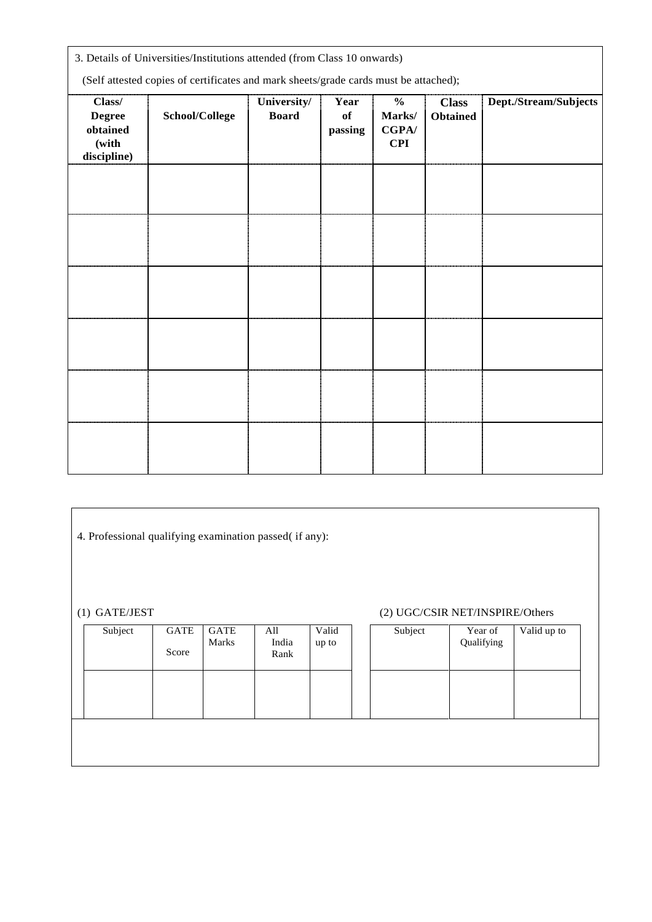| 3. Details of Universities/Institutions attended (from Class 10 onwards)<br>(Self attested copies of certificates and mark sheets/grade cards must be attached); |                |                             |                       |                                                |                                 |                       |
|------------------------------------------------------------------------------------------------------------------------------------------------------------------|----------------|-----------------------------|-----------------------|------------------------------------------------|---------------------------------|-----------------------|
| Class/<br><b>Degree</b><br>obtained<br>(with<br>discipline)                                                                                                      | School/College | University/<br><b>Board</b> | Year<br>of<br>passing | $\frac{0}{0}$<br>Marks/<br>CGPA/<br><b>CPI</b> | <b>Class</b><br><b>Obtained</b> | Dept./Stream/Subjects |
|                                                                                                                                                                  |                |                             |                       |                                                |                                 |                       |
|                                                                                                                                                                  |                |                             |                       |                                                |                                 |                       |
|                                                                                                                                                                  |                |                             |                       |                                                |                                 |                       |
|                                                                                                                                                                  |                |                             |                       |                                                |                                 |                       |
|                                                                                                                                                                  |                |                             |                       |                                                |                                 |                       |
|                                                                                                                                                                  |                |                             |                       |                                                |                                 |                       |

4. Professional qualifying examination passed( if any):

### (1) GATE/JEST (2) UGC/CSIR NET/INSPIRE/Others

| Subject | GATE<br>Score | <b>GATE</b><br>Marks | All<br>India<br>Rank | Valid<br>up to | Subject | Year of<br>Qualifying | Valid up to |  |
|---------|---------------|----------------------|----------------------|----------------|---------|-----------------------|-------------|--|
|         |               |                      |                      |                |         |                       |             |  |
|         |               |                      |                      |                |         |                       |             |  |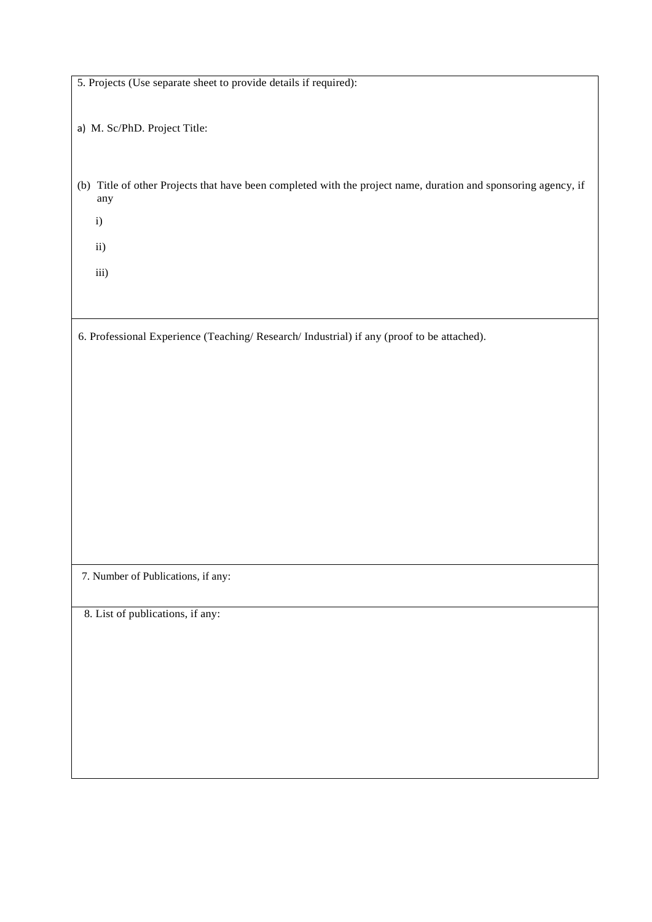| 5. Projects (Use separate sheet to provide details if required):                                               |
|----------------------------------------------------------------------------------------------------------------|
|                                                                                                                |
|                                                                                                                |
| a) M. Sc/PhD. Project Title:                                                                                   |
|                                                                                                                |
|                                                                                                                |
|                                                                                                                |
| (b) Title of other Projects that have been completed with the project name, duration and sponsoring agency, if |
| any                                                                                                            |
|                                                                                                                |
| i)                                                                                                             |
|                                                                                                                |
| ii)                                                                                                            |
|                                                                                                                |
| iii)                                                                                                           |
|                                                                                                                |
|                                                                                                                |
|                                                                                                                |
| 6. Professional Experience (Teaching/Research/Industrial) if any (proof to be attached).                       |
|                                                                                                                |
|                                                                                                                |
|                                                                                                                |
|                                                                                                                |
|                                                                                                                |
|                                                                                                                |
|                                                                                                                |
|                                                                                                                |
|                                                                                                                |
|                                                                                                                |
|                                                                                                                |
|                                                                                                                |
|                                                                                                                |
|                                                                                                                |
|                                                                                                                |
|                                                                                                                |
|                                                                                                                |
| 7. Number of Publications, if any:                                                                             |
|                                                                                                                |
|                                                                                                                |
| 8. List of publications, if any:                                                                               |
|                                                                                                                |
|                                                                                                                |
|                                                                                                                |
|                                                                                                                |
|                                                                                                                |
|                                                                                                                |
|                                                                                                                |
|                                                                                                                |
|                                                                                                                |
|                                                                                                                |